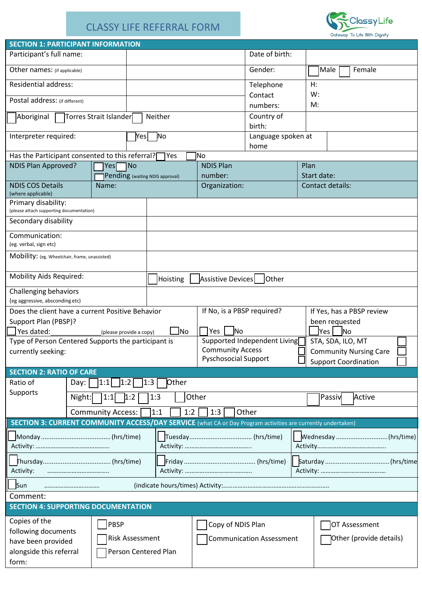## CLASSY LIFE REFERRAL FORM



| <b>SECTION 1: PARTICIPANT INFORMATION</b>                                                                                           |                        |                          |                        |                                                            |                             |                                                              |             |                           |  |  |
|-------------------------------------------------------------------------------------------------------------------------------------|------------------------|--------------------------|------------------------|------------------------------------------------------------|-----------------------------|--------------------------------------------------------------|-------------|---------------------------|--|--|
| Participant's full name:                                                                                                            |                        |                          |                        |                                                            |                             | Date of birth:                                               |             |                           |  |  |
| Other names: (if applicable)                                                                                                        |                        |                          |                        |                                                            |                             | Gender:                                                      |             | Male<br>Female            |  |  |
| <b>Residential address:</b>                                                                                                         |                        |                          |                        |                                                            |                             | Telephone                                                    | H:          |                           |  |  |
| Postal address: (if different)                                                                                                      |                        |                          |                        |                                                            |                             | Contact                                                      | W:          |                           |  |  |
|                                                                                                                                     | Torres Strait Islander | Neither                  | numbers:<br>Country of | M:                                                         |                             |                                                              |             |                           |  |  |
| Aboriginal                                                                                                                          |                        |                          | birth:                 |                                                            |                             |                                                              |             |                           |  |  |
| No<br>Interpreter required:<br>Yesl                                                                                                 |                        |                          |                        |                                                            |                             | Language spoken at<br>home                                   |             |                           |  |  |
| Has the Participant consented to this referral?                                                                                     |                        |                          |                        | Yes                                                        | lNo                         |                                                              |             |                           |  |  |
| <b>NDIS Plan Approved?</b><br>1No<br>Yesl                                                                                           |                        |                          |                        |                                                            | <b>NDIS Plan</b>            |                                                              | Plan        |                           |  |  |
| Pending (waiting NDIS approval)                                                                                                     |                        |                          |                        | number:                                                    |                             |                                                              | Start date: |                           |  |  |
| <b>NDIS COS Details</b><br>Name:<br>(where applicable)                                                                              |                        |                          |                        | Organization:                                              |                             | Contact details:                                             |             |                           |  |  |
| Primary disability:<br>(please attach supporting documentation)                                                                     |                        |                          |                        |                                                            |                             |                                                              |             |                           |  |  |
| Secondary disability                                                                                                                |                        |                          |                        |                                                            |                             |                                                              |             |                           |  |  |
| Communication:<br>(eg. verbal, sign etc)                                                                                            |                        |                          |                        |                                                            |                             |                                                              |             |                           |  |  |
| Mobility: (eg. Wheelchair, frame, unassisted)                                                                                       |                        |                          |                        |                                                            |                             |                                                              |             |                           |  |  |
|                                                                                                                                     |                        |                          |                        |                                                            |                             |                                                              |             |                           |  |  |
| <b>Mobility Aids Required:</b><br>Assistive Devices<br>Other<br>Hoisting                                                            |                        |                          |                        |                                                            |                             |                                                              |             |                           |  |  |
| Challenging behaviors                                                                                                               |                        |                          |                        |                                                            |                             |                                                              |             |                           |  |  |
| (eg aggressive, absconding etc)                                                                                                     |                        |                          |                        |                                                            |                             |                                                              |             |                           |  |  |
| Does the client have a current Positive Behavior                                                                                    |                        |                          |                        |                                                            | If No, is a PBSP required?  |                                                              |             | If Yes, has a PBSP review |  |  |
| been requested<br>Support Plan (PBSP)?                                                                                              |                        |                          |                        |                                                            |                             |                                                              |             |                           |  |  |
| No<br><u>J</u> No<br>Yes  <br><b>No</b><br>Yes dated:<br>lYes l<br>(please provide a copy)                                          |                        |                          |                        |                                                            |                             |                                                              |             |                           |  |  |
| Supported Independent Living<br>STA, SDA, ILO, MT<br>Type of Person Centered Supports the participant is<br><b>Community Access</b> |                        |                          |                        |                                                            |                             |                                                              |             |                           |  |  |
| currently seeking:                                                                                                                  |                        |                          |                        |                                                            | <b>Pyschosocial Support</b> | <b>Community Nursing Care</b><br><b>Support Coordination</b> |             |                           |  |  |
| <b>SECTION 2: RATIO OF CARE</b>                                                                                                     |                        |                          |                        |                                                            |                             |                                                              |             |                           |  |  |
| Ratio of                                                                                                                            | Day:                   | 1:1 <br> 1:2             | 1:3                    | Other                                                      |                             |                                                              |             |                           |  |  |
| Supports                                                                                                                            | Night:                 | 1:1<br>1:2               | 1:3                    |                                                            | Other                       |                                                              |             | Passiv<br>Active          |  |  |
|                                                                                                                                     |                        |                          |                        |                                                            |                             |                                                              |             |                           |  |  |
| SECTION 3: CURRENT COMMUNITY ACCESS/DAY SERVICE (what CA or Day Program activities are currently undertaken)                        |                        | <b>Community Access:</b> | 1:1                    | 1:2                                                        | 1:3                         | Other                                                        |             |                           |  |  |
|                                                                                                                                     |                        |                          |                        |                                                            |                             |                                                              |             |                           |  |  |
|                                                                                                                                     |                        |                          |                        |                                                            | Tuesday (hrs/time)          |                                                              |             | Wednesday(hrs/time)       |  |  |
|                                                                                                                                     |                        |                          |                        |                                                            |                             |                                                              |             |                           |  |  |
| Activity:                                                                                                                           |                        |                          |                        |                                                            |                             |                                                              |             |                           |  |  |
| Sun                                                                                                                                 |                        |                          |                        |                                                            |                             |                                                              |             |                           |  |  |
| Comment:                                                                                                                            |                        |                          |                        |                                                            |                             |                                                              |             |                           |  |  |
| <b>SECTION 4: SUPPORTING DOCUMENTATION</b>                                                                                          |                        |                          |                        |                                                            |                             |                                                              |             |                           |  |  |
| Copies of the                                                                                                                       |                        | PBSP                     |                        |                                                            | Copy of NDIS Plan           |                                                              |             | OT Assessment             |  |  |
| following documents                                                                                                                 |                        |                          |                        |                                                            |                             |                                                              |             |                           |  |  |
| <b>Risk Assessment</b><br>have been provided                                                                                        |                        |                          |                        | Other (provide details)<br><b>Communication Assessment</b> |                             |                                                              |             |                           |  |  |
| alongside this referral                                                                                                             |                        | Person Centered Plan     |                        |                                                            |                             |                                                              |             |                           |  |  |
| form:                                                                                                                               |                        |                          |                        |                                                            |                             |                                                              |             |                           |  |  |